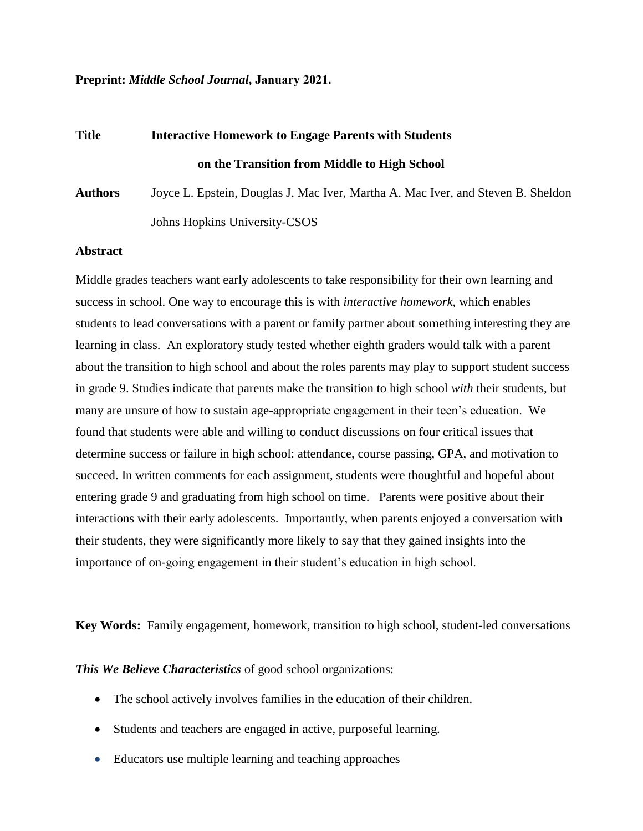#### **Preprint:** *Middle School Journal***, January 2021.**

# **Title Interactive Homework to Engage Parents with Students on the Transition from Middle to High School**

**Authors** Joyce L. Epstein, Douglas J. Mac Iver, Martha A. Mac Iver, and Steven B. Sheldon Johns Hopkins University-CSOS

#### **Abstract**

Middle grades teachers want early adolescents to take responsibility for their own learning and success in school. One way to encourage this is with *interactive homework,* which enables students to lead conversations with a parent or family partner about something interesting they are learning in class. An exploratory study tested whether eighth graders would talk with a parent about the transition to high school and about the roles parents may play to support student success in grade 9. Studies indicate that parents make the transition to high school *with* their students, but many are unsure of how to sustain age-appropriate engagement in their teen's education. We found that students were able and willing to conduct discussions on four critical issues that determine success or failure in high school: attendance, course passing, GPA, and motivation to succeed. In written comments for each assignment, students were thoughtful and hopeful about entering grade 9 and graduating from high school on time. Parents were positive about their interactions with their early adolescents. Importantly, when parents enjoyed a conversation with their students, they were significantly more likely to say that they gained insights into the importance of on-going engagement in their student's education in high school.

**Key Words:** Family engagement, homework, transition to high school, student-led conversations

*This We Believe Characteristics* of good school organizations:

- The school actively involves families in the education of their children.
- Students and teachers are engaged in active, purposeful learning.
- Educators use multiple learning and teaching approaches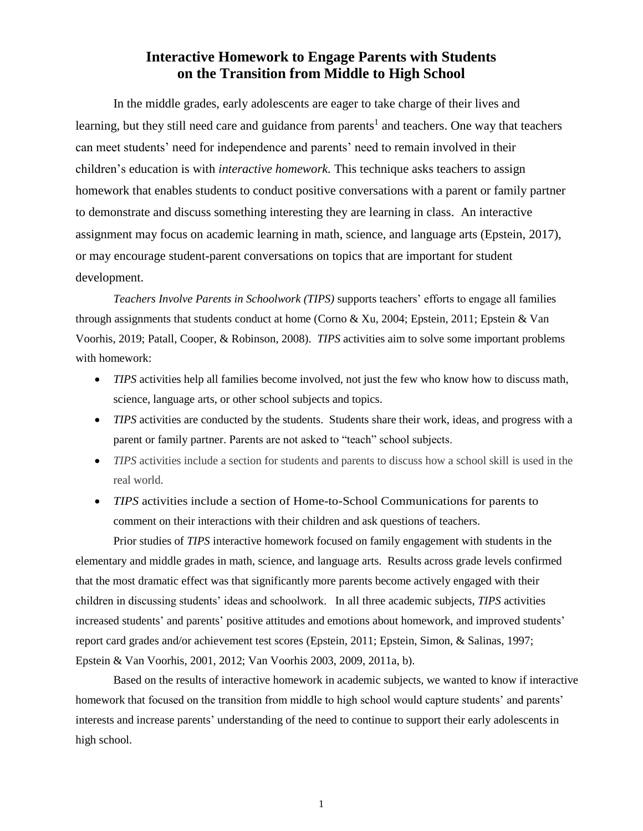# **Interactive Homework to Engage Parents with Students on the Transition from Middle to High School**

In the middle grades, early adolescents are eager to take charge of their lives and learning, but they still need care and guidance from parents<sup>1</sup> and teachers. One way that teachers can meet students' need for independence and parents' need to remain involved in their children's education is with *interactive homework.* This technique asks teachers to assign homework that enables students to conduct positive conversations with a parent or family partner to demonstrate and discuss something interesting they are learning in class. An interactive assignment may focus on academic learning in math, science, and language arts (Epstein, 2017), or may encourage student-parent conversations on topics that are important for student development.

*Teachers Involve Parents in Schoolwork (TIPS)* supports teachers' efforts to engage all families through assignments that students conduct at home (Corno & Xu, 2004; Epstein, 2011; Epstein & Van Voorhis, 2019; Patall, Cooper, & Robinson, 2008). *TIPS* activities aim to solve some important problems with homework:

- *TIPS* activities help all families become involved, not just the few who know how to discuss math, science, language arts, or other school subjects and topics.
- *TIPS* activities are conducted by the students. Students share their work, ideas, and progress with a parent or family partner. Parents are not asked to "teach" school subjects.
- *TIPS* activities include a section for students and parents to discuss how a school skill is used in the real world.
- *TIPS* activities include a section of Home-to-School Communications for parents to comment on their interactions with their children and ask questions of teachers.

Prior studies of *TIPS* interactive homework focused on family engagement with students in the elementary and middle grades in math, science, and language arts. Results across grade levels confirmed that the most dramatic effect was that significantly more parents become actively engaged with their children in discussing students' ideas and schoolwork. In all three academic subjects, *TIPS* activities increased students' and parents' positive attitudes and emotions about homework, and improved students' report card grades and/or achievement test scores (Epstein, 2011; Epstein, Simon, & Salinas, 1997; Epstein & Van Voorhis, 2001, 2012; Van Voorhis 2003, 2009, 2011a, b).

Based on the results of interactive homework in academic subjects, we wanted to know if interactive homework that focused on the transition from middle to high school would capture students' and parents' interests and increase parents' understanding of the need to continue to support their early adolescents in high school.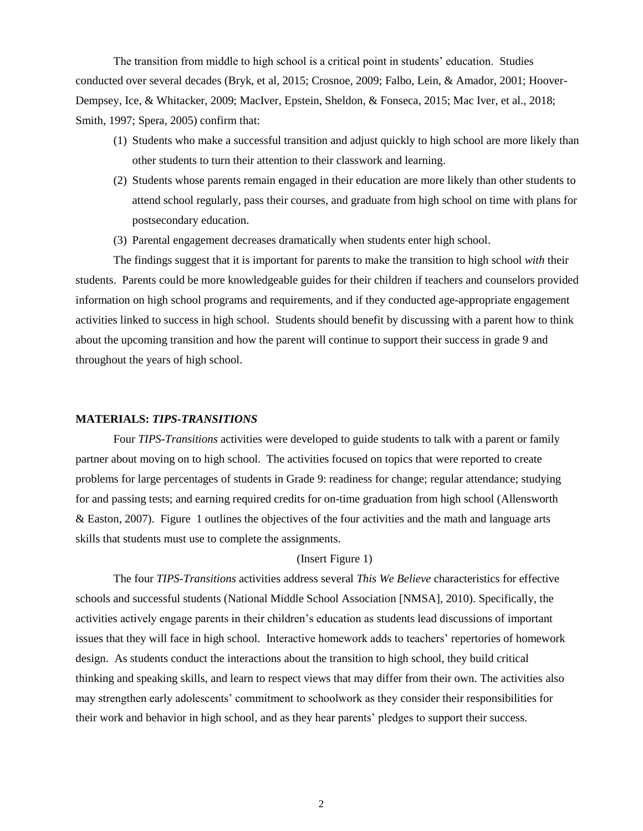The transition from middle to high school is a critical point in students' education. Studies conducted over several decades (Bryk, et al, 2015; Crosnoe, 2009; Falbo, Lein, & Amador, 2001; Hoover-Dempsey, Ice, & Whitacker, 2009; MacIver, Epstein, Sheldon, & Fonseca, 2015; Mac Iver, et al., 2018; Smith, 1997; Spera, 2005) confirm that:

- (1) Students who make a successful transition and adjust quickly to high school are more likely than other students to turn their attention to their classwork and learning.
- (2) Students whose parents remain engaged in their education are more likely than other students to attend school regularly, pass their courses, and graduate from high school on time with plans for postsecondary education.
- (3) Parental engagement decreases dramatically when students enter high school.

The findings suggest that it is important for parents to make the transition to high school *with* their students. Parents could be more knowledgeable guides for their children if teachers and counselors provided information on high school programs and requirements, and if they conducted age-appropriate engagement activities linked to success in high school. Students should benefit by discussing with a parent how to think about the upcoming transition and how the parent will continue to support their success in grade 9 and throughout the years of high school.

#### **MATERIALS:** *TIPS-TRANSITIONS*

Four *TIPS-Transitions* activities were developed to guide students to talk with a parent or family partner about moving on to high school. The activities focused on topics that were reported to create problems for large percentages of students in Grade 9: readiness for change; regular attendance; studying for and passing tests; and earning required credits for on-time graduation from high school (Allensworth & Easton, 2007). Figure 1 outlines the objectives of the four activities and the math and language arts skills that students must use to complete the assignments.

#### (Insert Figure 1)

The four *TIPS-Transitions* activities address several *This We Believe* characteristics for effective schools and successful students (National Middle School Association [NMSA], 2010). Specifically, the activities actively engage parents in their children's education as students lead discussions of important issues that they will face in high school. Interactive homework adds to teachers' repertories of homework design. As students conduct the interactions about the transition to high school, they build critical thinking and speaking skills, and learn to respect views that may differ from their own. The activities also may strengthen early adolescents' commitment to schoolwork as they consider their responsibilities for their work and behavior in high school, and as they hear parents' pledges to support their success.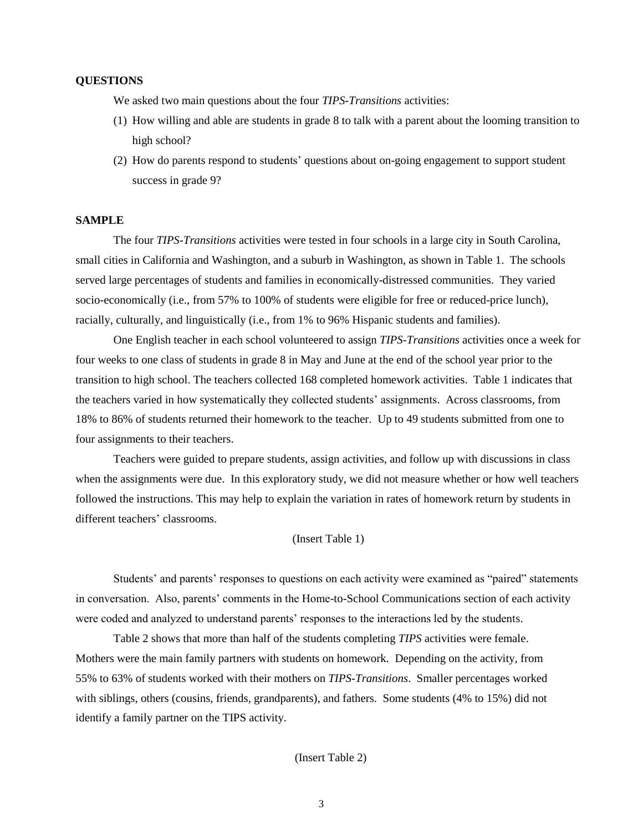#### **QUESTIONS**

We asked two main questions about the four *TIPS-Transitions* activities:

- (1) How willing and able are students in grade 8 to talk with a parent about the looming transition to high school?
- (2) How do parents respond to students' questions about on-going engagement to support student success in grade 9?

#### **SAMPLE**

The four *TIPS-Transitions* activities were tested in four schools in a large city in South Carolina, small cities in California and Washington, and a suburb in Washington, as shown in Table 1. The schools served large percentages of students and families in economically-distressed communities. They varied socio-economically (i.e., from 57% to 100% of students were eligible for free or reduced-price lunch), racially, culturally, and linguistically (i.e., from 1% to 96% Hispanic students and families).

One English teacher in each school volunteered to assign *TIPS-Transitions* activities once a week for four weeks to one class of students in grade 8 in May and June at the end of the school year prior to the transition to high school. The teachers collected 168 completed homework activities. Table 1 indicates that the teachers varied in how systematically they collected students' assignments. Across classrooms, from 18% to 86% of students returned their homework to the teacher. Up to 49 students submitted from one to four assignments to their teachers.

Teachers were guided to prepare students, assign activities, and follow up with discussions in class when the assignments were due. In this exploratory study, we did not measure whether or how well teachers followed the instructions. This may help to explain the variation in rates of homework return by students in different teachers' classrooms.

#### (Insert Table 1)

Students' and parents' responses to questions on each activity were examined as "paired" statements in conversation. Also, parents' comments in the Home-to-School Communications section of each activity were coded and analyzed to understand parents' responses to the interactions led by the students.

Table 2 shows that more than half of the students completing *TIPS* activities were female. Mothers were the main family partners with students on homework. Depending on the activity, from 55% to 63% of students worked with their mothers on *TIPS-Transitions*. Smaller percentages worked with siblings, others (cousins, friends, grandparents), and fathers. Some students (4% to 15%) did not identify a family partner on the TIPS activity.

#### (Insert Table 2)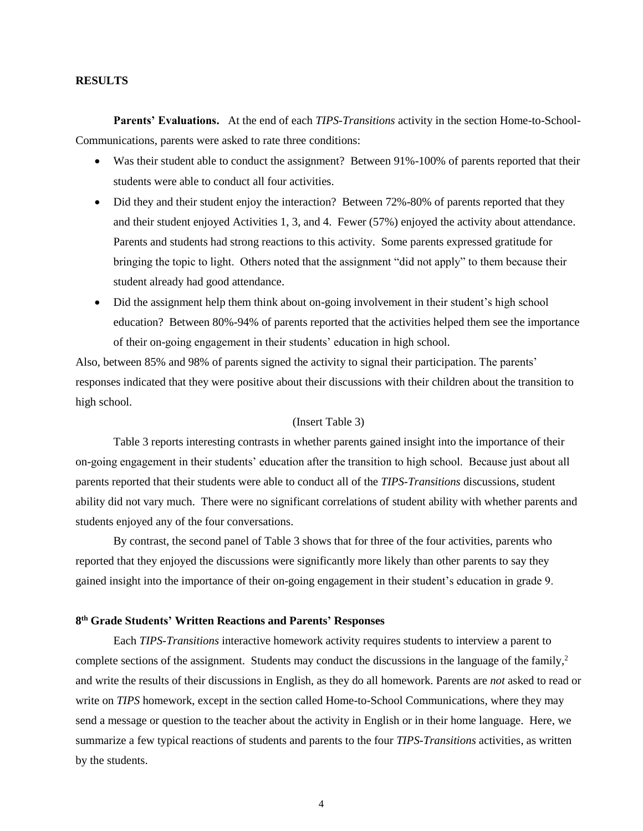#### **RESULTS**

**Parents' Evaluations.** At the end of each *TIPS-Transitions* activity in the section Home-to-School-Communications, parents were asked to rate three conditions:

- Was their student able to conduct the assignment? Between 91%-100% of parents reported that their students were able to conduct all four activities.
- Did they and their student enjoy the interaction? Between 72%-80% of parents reported that they and their student enjoyed Activities 1, 3, and 4. Fewer (57%) enjoyed the activity about attendance. Parents and students had strong reactions to this activity. Some parents expressed gratitude for bringing the topic to light. Others noted that the assignment "did not apply" to them because their student already had good attendance.
- Did the assignment help them think about on-going involvement in their student's high school education? Between 80%-94% of parents reported that the activities helped them see the importance of their on-going engagement in their students' education in high school.

Also, between 85% and 98% of parents signed the activity to signal their participation. The parents' responses indicated that they were positive about their discussions with their children about the transition to high school.

#### (Insert Table 3)

Table 3 reports interesting contrasts in whether parents gained insight into the importance of their on-going engagement in their students' education after the transition to high school. Because just about all parents reported that their students were able to conduct all of the *TIPS-Transitions* discussions, student ability did not vary much. There were no significant correlations of student ability with whether parents and students enjoyed any of the four conversations.

By contrast, the second panel of Table 3 shows that for three of the four activities, parents who reported that they enjoyed the discussions were significantly more likely than other parents to say they gained insight into the importance of their on-going engagement in their student's education in grade 9.

#### **8 th Grade Students' Written Reactions and Parents' Responses**

Each *TIPS-Transitions* interactive homework activity requires students to interview a parent to complete sections of the assignment. Students may conduct the discussions in the language of the family, 2 and write the results of their discussions in English, as they do all homework. Parents are *not* asked to read or write on *TIPS* homework, except in the section called Home-to-School Communications, where they may send a message or question to the teacher about the activity in English or in their home language. Here, we summarize a few typical reactions of students and parents to the four *TIPS-Transitions* activities, as written by the students.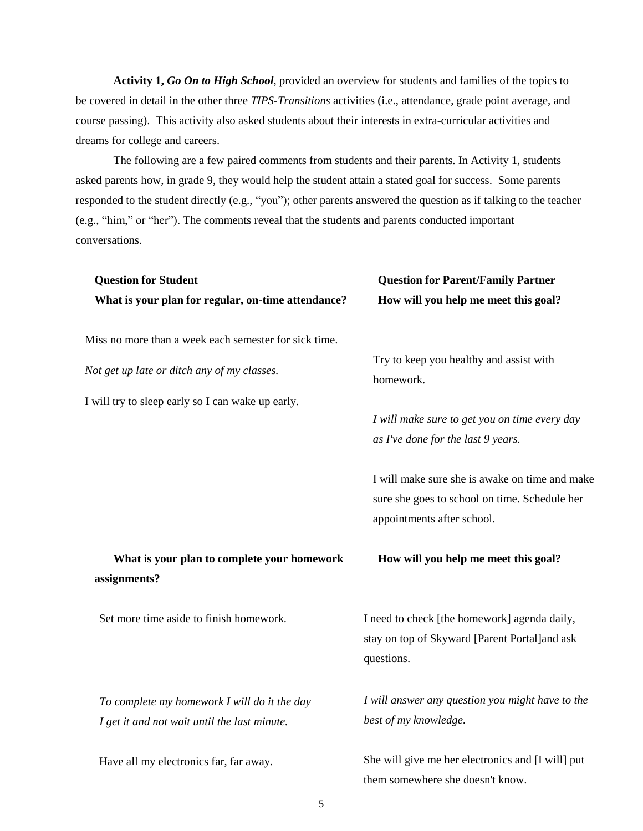**Activity 1,** *Go On to High School*, provided an overview for students and families of the topics to be covered in detail in the other three *TIPS-Transitions* activities (i.e., attendance, grade point average, and course passing). This activity also asked students about their interests in extra-curricular activities and dreams for college and careers.

The following are a few paired comments from students and their parents. In Activity 1, students asked parents how, in grade 9, they would help the student attain a stated goal for success. Some parents responded to the student directly (e.g., "you"); other parents answered the question as if talking to the teacher (e.g., "him," or "her"). The comments reveal that the students and parents conducted important conversations.

| <b>Question for Student</b>                                                                  | <b>Question for Parent/Family Partner</b>                                                                                     |  |  |
|----------------------------------------------------------------------------------------------|-------------------------------------------------------------------------------------------------------------------------------|--|--|
| What is your plan for regular, on-time attendance?                                           | How will you help me meet this goal?                                                                                          |  |  |
| Miss no more than a week each semester for sick time.                                        |                                                                                                                               |  |  |
| Not get up late or ditch any of my classes.                                                  | Try to keep you healthy and assist with<br>homework.                                                                          |  |  |
| I will try to sleep early so I can wake up early.                                            |                                                                                                                               |  |  |
|                                                                                              | I will make sure to get you on time every day<br>as I've done for the last 9 years.                                           |  |  |
|                                                                                              | I will make sure she is awake on time and make<br>sure she goes to school on time. Schedule her<br>appointments after school. |  |  |
| What is your plan to complete your homework<br>assignments?                                  | How will you help me meet this goal?                                                                                          |  |  |
| Set more time aside to finish homework.                                                      | I need to check [the homework] agenda daily,<br>stay on top of Skyward [Parent Portal]and ask<br>questions.                   |  |  |
| To complete my homework I will do it the day<br>I get it and not wait until the last minute. | I will answer any question you might have to the<br>best of my knowledge.                                                     |  |  |

Have all my electronics far, far away.

She will give me her electronics and [I will] put them somewhere she doesn't know.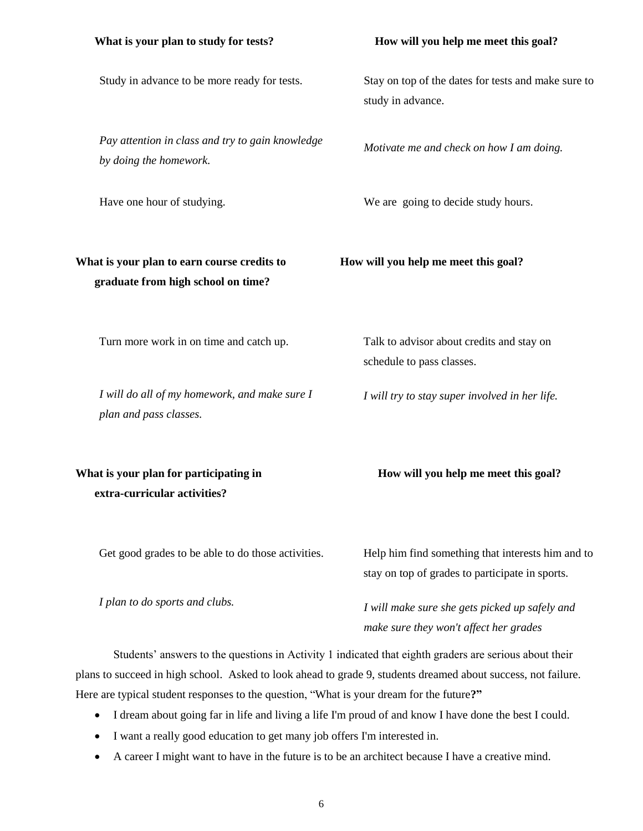Study in advance to be more ready for tests.

*Pay attention in class and try to gain knowledge by doing the homework.*

Have one hour of studying.

## What is your plan to earn course credits to **How will you help me meet this goal? graduate from high school on time?**

Turn more work in on time and catch up.

*I will do all of my homework, and make sure I plan and pass classes.*

# What is your plan for participating in **How will you help me meet this goal? extra-curricular activities?**

Get good grades to be able to do those activities.

*I plan to do sports and clubs.*

Stay on top of the dates for tests and make sure to study in advance.

*Motivate me and check on how I am doing.*

We are going to decide study hours.

Talk to advisor about credits and stay on schedule to pass classes.

*I will try to stay super involved in her life.*

Help him find something that interests him and to stay on top of grades to participate in sports.

*I will make sure she gets picked up safely and make sure they won't affect her grades*

Students' answers to the questions in Activity 1 indicated that eighth graders are serious about their plans to succeed in high school. Asked to look ahead to grade 9, students dreamed about success, not failure. Here are typical student responses to the question, "What is your dream for the future**?"**

- I dream about going far in life and living a life I'm proud of and know I have done the best I could.
- I want a really good education to get many job offers I'm interested in.
- A career I might want to have in the future is to be an architect because I have a creative mind.

#### What is your plan to study for tests? **How will you help me meet this goal?**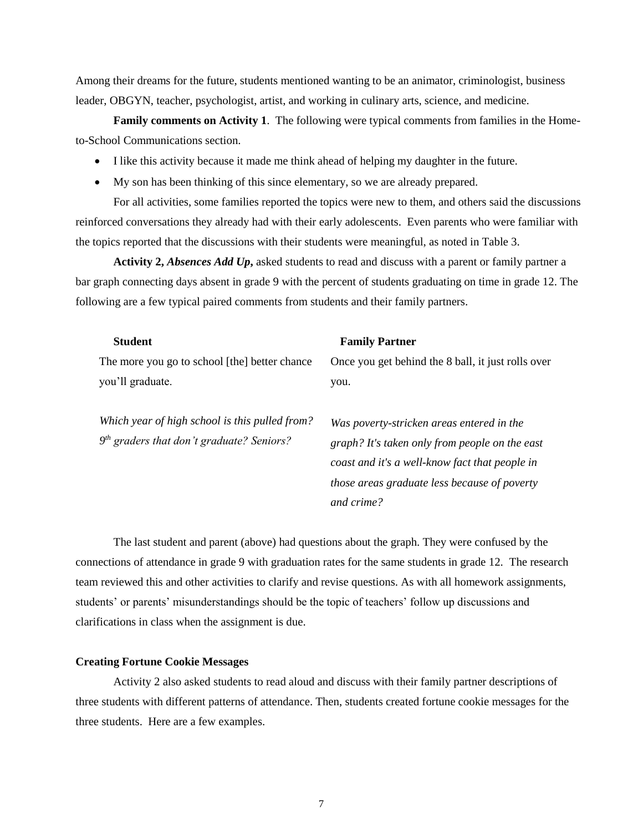Among their dreams for the future, students mentioned wanting to be an animator, criminologist, business leader, OBGYN, teacher, psychologist, artist, and working in culinary arts, science, and medicine.

**Family comments on Activity 1**. The following were typical comments from families in the Hometo-School Communications section.

- I like this activity because it made me think ahead of helping my daughter in the future.
- My son has been thinking of this since elementary, so we are already prepared.

For all activities, some families reported the topics were new to them, and others said the discussions reinforced conversations they already had with their early adolescents. Even parents who were familiar with the topics reported that the discussions with their students were meaningful, as noted in Table 3.

**Activity 2,** *Absences Add Up***,** asked students to read and discuss with a parent or family partner a bar graph connecting days absent in grade 9 with the percent of students graduating on time in grade 12. The following are a few typical paired comments from students and their family partners.

| <b>Student</b>                                                                                | <b>Family Partner</b>                                                                                                                                                                                       |
|-----------------------------------------------------------------------------------------------|-------------------------------------------------------------------------------------------------------------------------------------------------------------------------------------------------------------|
| The more you go to school [the] better chance                                                 | Once you get behind the 8 ball, it just rolls over                                                                                                                                                          |
| you'll graduate.                                                                              | you.                                                                                                                                                                                                        |
| Which year of high school is this pulled from?<br>$9th$ graders that don't graduate? Seniors? | Was poverty-stricken areas entered in the<br>graph? It's taken only from people on the east<br>coast and it's a well-know fact that people in<br>those areas graduate less because of poverty<br>and crime? |

The last student and parent (above) had questions about the graph. They were confused by the connections of attendance in grade 9 with graduation rates for the same students in grade 12. The research team reviewed this and other activities to clarify and revise questions. As with all homework assignments, students' or parents' misunderstandings should be the topic of teachers' follow up discussions and clarifications in class when the assignment is due.

#### **Creating Fortune Cookie Messages**

Activity 2 also asked students to read aloud and discuss with their family partner descriptions of three students with different patterns of attendance. Then, students created fortune cookie messages for the three students. Here are a few examples.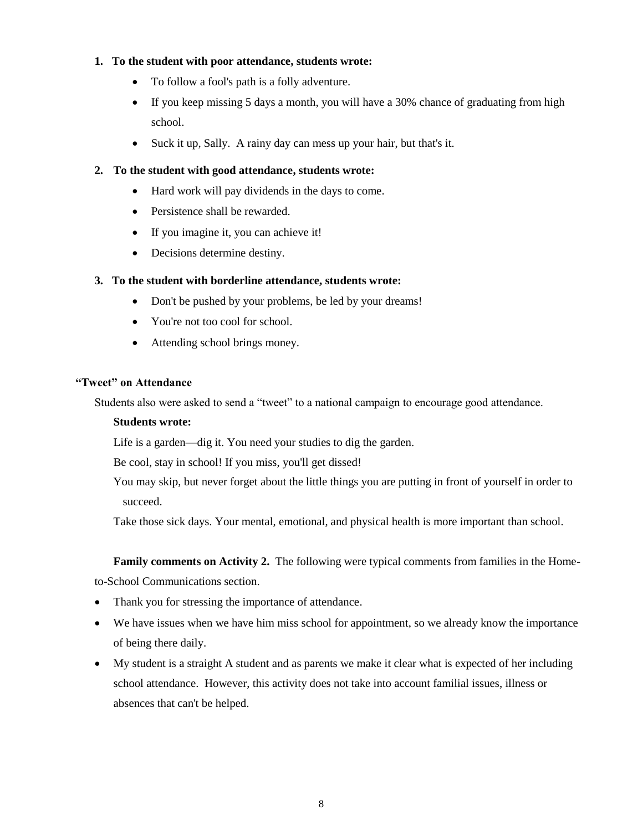#### **1. To the student with poor attendance, students wrote:**

- To follow a fool's path is a folly adventure.
- If you keep missing 5 days a month, you will have a 30% chance of graduating from high school.
- Suck it up, Sally. A rainy day can mess up your hair, but that's it.

#### **2. To the student with good attendance, students wrote:**

- Hard work will pay dividends in the days to come.
- Persistence shall be rewarded.
- If you imagine it, you can achieve it!
- Decisions determine destiny.

#### **3. To the student with borderline attendance, students wrote:**

- Don't be pushed by your problems, be led by your dreams!
- You're not too cool for school.
- Attending school brings money.

#### **"Tweet" on Attendance**

Students also were asked to send a "tweet" to a national campaign to encourage good attendance.

#### **Students wrote:**

Life is a garden—dig it. You need your studies to dig the garden.

Be cool, stay in school! If you miss, you'll get dissed!

You may skip, but never forget about the little things you are putting in front of yourself in order to succeed.

Take those sick days. Your mental, emotional, and physical health is more important than school.

#### **Family comments on Activity 2.** The following were typical comments from families in the Home-

to-School Communications section.

- Thank you for stressing the importance of attendance.
- We have issues when we have him miss school for appointment, so we already know the importance of being there daily.
- My student is a straight A student and as parents we make it clear what is expected of her including school attendance. However, this activity does not take into account familial issues, illness or absences that can't be helped.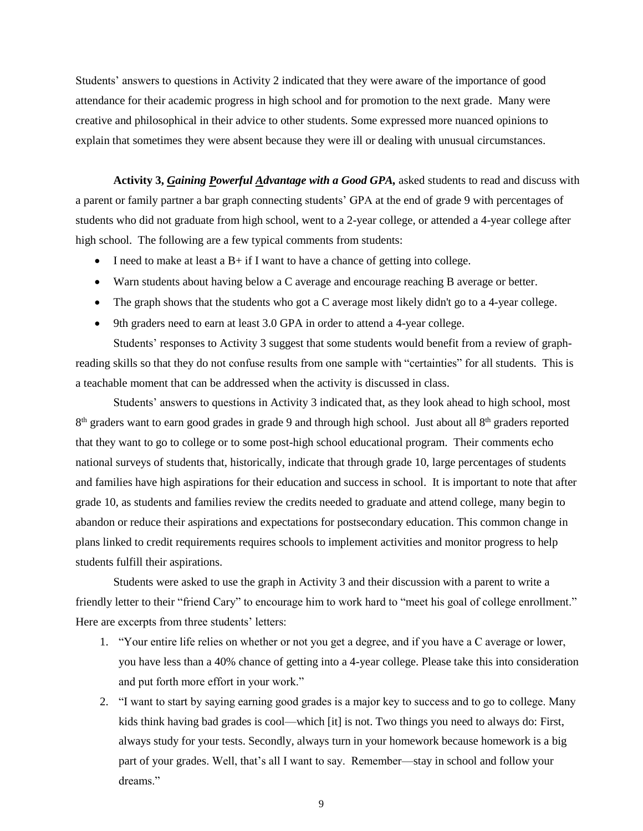Students' answers to questions in Activity 2 indicated that they were aware of the importance of good attendance for their academic progress in high school and for promotion to the next grade. Many were creative and philosophical in their advice to other students. Some expressed more nuanced opinions to explain that sometimes they were absent because they were ill or dealing with unusual circumstances.

**Activity 3,** *Gaining Powerful Advantage with a Good GPA,* asked students to read and discuss with a parent or family partner a bar graph connecting students' GPA at the end of grade 9 with percentages of students who did not graduate from high school, went to a 2-year college, or attended a 4-year college after high school. The following are a few typical comments from students:

- I need to make at least a  $B+$  if I want to have a chance of getting into college.
- Warn students about having below a C average and encourage reaching B average or better.
- The graph shows that the students who got a C average most likely didn't go to a 4-year college.
- 9th graders need to earn at least 3.0 GPA in order to attend a 4-year college.

Students' responses to Activity 3 suggest that some students would benefit from a review of graphreading skills so that they do not confuse results from one sample with "certainties" for all students. This is a teachable moment that can be addressed when the activity is discussed in class.

Students' answers to questions in Activity 3 indicated that, as they look ahead to high school, most 8<sup>th</sup> graders want to earn good grades in grade 9 and through high school. Just about all 8<sup>th</sup> graders reported that they want to go to college or to some post-high school educational program. Their comments echo national surveys of students that, historically, indicate that through grade 10, large percentages of students and families have high aspirations for their education and success in school. It is important to note that after grade 10, as students and families review the credits needed to graduate and attend college, many begin to abandon or reduce their aspirations and expectations for postsecondary education. This common change in plans linked to credit requirements requires schools to implement activities and monitor progress to help students fulfill their aspirations.

Students were asked to use the graph in Activity 3 and their discussion with a parent to write a friendly letter to their "friend Cary" to encourage him to work hard to "meet his goal of college enrollment." Here are excerpts from three students' letters:

- 1. "Your entire life relies on whether or not you get a degree, and if you have a C average or lower, you have less than a 40% chance of getting into a 4-year college. Please take this into consideration and put forth more effort in your work."
- 2. "I want to start by saying earning good grades is a major key to success and to go to college. Many kids think having bad grades is cool—which [it] is not. Two things you need to always do: First, always study for your tests. Secondly, always turn in your homework because homework is a big part of your grades. Well, that's all I want to say. Remember—stay in school and follow your dreams."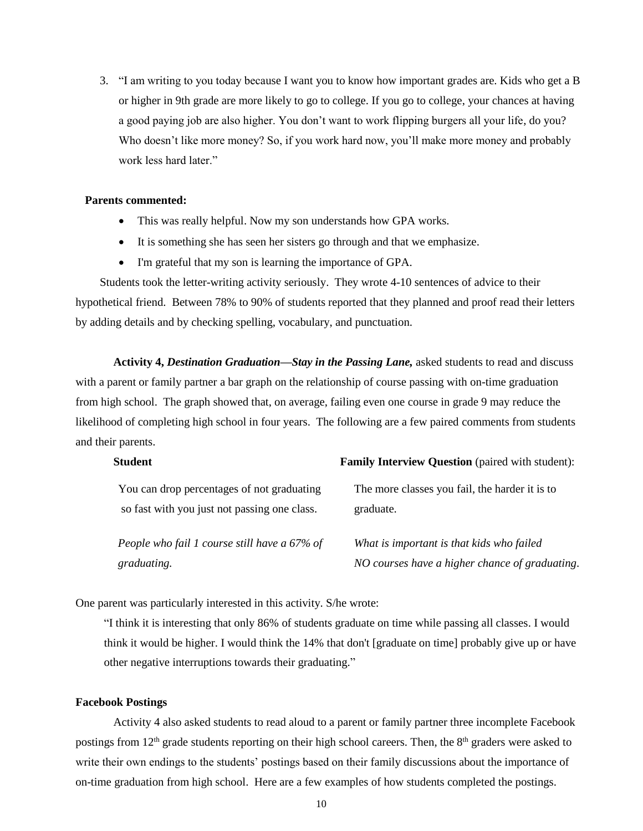3. "I am writing to you today because I want you to know how important grades are. Kids who get a B or higher in 9th grade are more likely to go to college. If you go to college, your chances at having a good paying job are also higher. You don't want to work flipping burgers all your life, do you? Who doesn't like more money? So, if you work hard now, you'll make more money and probably work less hard later."

#### **Parents commented:**

- This was really helpful. Now my son understands how GPA works.
- It is something she has seen her sisters go through and that we emphasize.
- I'm grateful that my son is learning the importance of GPA.

Students took the letter-writing activity seriously. They wrote 4-10 sentences of advice to their hypothetical friend. Between 78% to 90% of students reported that they planned and proof read their letters by adding details and by checking spelling, vocabulary, and punctuation.

**Activity 4,** *Destination Graduation—Stay in the Passing Lane,* asked students to read and discuss with a parent or family partner a bar graph on the relationship of course passing with on-time graduation from high school. The graph showed that, on average, failing even one course in grade 9 may reduce the likelihood of completing high school in four years. The following are a few paired comments from students and their parents.

| <b>Student</b>                               | <b>Family Interview Question</b> (paired with student): |
|----------------------------------------------|---------------------------------------------------------|
| You can drop percentages of not graduating   | The more classes you fail, the harder it is to          |
| so fast with you just not passing one class. | graduate.                                               |
| People who fail 1 course still have a 67% of | What is important is that kids who failed               |
| graduating.                                  | NO courses have a higher chance of graduating.          |

One parent was particularly interested in this activity. S/he wrote:

"I think it is interesting that only 86% of students graduate on time while passing all classes. I would think it would be higher. I would think the 14% that don't [graduate on time] probably give up or have other negative interruptions towards their graduating."

#### **Facebook Postings**

Activity 4 also asked students to read aloud to a parent or family partner three incomplete Facebook postings from 12<sup>th</sup> grade students reporting on their high school careers. Then, the 8<sup>th</sup> graders were asked to write their own endings to the students' postings based on their family discussions about the importance of on-time graduation from high school. Here are a few examples of how students completed the postings.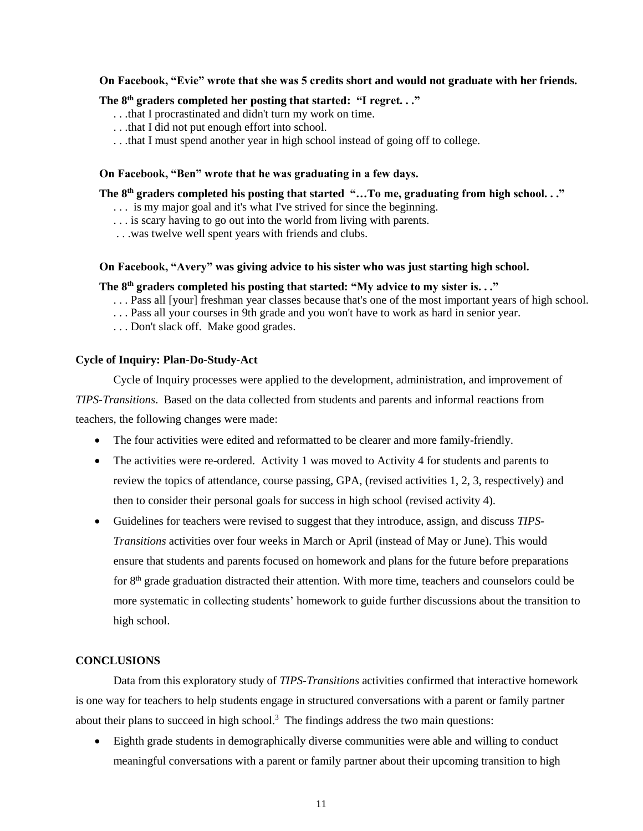#### **On Facebook, "Evie" wrote that she was 5 credits short and would not graduate with her friends.**

#### **The 8th graders completed her posting that started: "I regret. . ."**

- . . .that I procrastinated and didn't turn my work on time.
- . . .that I did not put enough effort into school.
- . . .that I must spend another year in high school instead of going off to college.

#### **On Facebook, "Ben" wrote that he was graduating in a few days.**

**The 8th graders completed his posting that started "…To me, graduating from high school. . ."**

- . . . is my major goal and it's what I've strived for since the beginning.
- . . . is scary having to go out into the world from living with parents.
- . . .was twelve well spent years with friends and clubs.

#### **On Facebook, "Avery" was giving advice to his sister who was just starting high school.**

#### **The 8th graders completed his posting that started: "My advice to my sister is. . ."**

- . . . Pass all [your] freshman year classes because that's one of the most important years of high school.
- . . . Pass all your courses in 9th grade and you won't have to work as hard in senior year.
- . . . Don't slack off. Make good grades.

#### **Cycle of Inquiry: Plan-Do-Study-Act**

Cycle of Inquiry processes were applied to the development, administration, and improvement of

*TIPS-Transitions*. Based on the data collected from students and parents and informal reactions from teachers, the following changes were made:

- The four activities were edited and reformatted to be clearer and more family-friendly.
- The activities were re-ordered. Activity 1 was moved to Activity 4 for students and parents to review the topics of attendance, course passing, GPA, (revised activities 1, 2, 3, respectively) and then to consider their personal goals for success in high school (revised activity 4).
- Guidelines for teachers were revised to suggest that they introduce, assign, and discuss *TIPS-Transitions* activities over four weeks in March or April (instead of May or June). This would ensure that students and parents focused on homework and plans for the future before preparations for  $8<sup>th</sup>$  grade graduation distracted their attention. With more time, teachers and counselors could be more systematic in collecting students' homework to guide further discussions about the transition to high school.

#### **CONCLUSIONS**

Data from this exploratory study of *TIPS-Transitions* activities confirmed that interactive homework is one way for teachers to help students engage in structured conversations with a parent or family partner about their plans to succeed in high school.<sup>3</sup> The findings address the two main questions:

• Eighth grade students in demographically diverse communities were able and willing to conduct meaningful conversations with a parent or family partner about their upcoming transition to high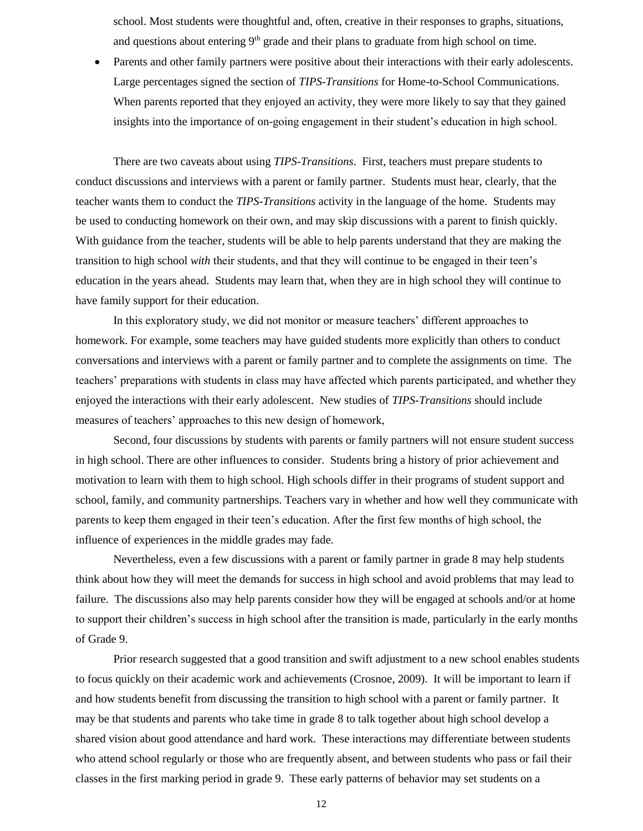school. Most students were thoughtful and, often, creative in their responses to graphs, situations, and questions about entering  $9<sup>th</sup>$  grade and their plans to graduate from high school on time.

• Parents and other family partners were positive about their interactions with their early adolescents. Large percentages signed the section of *TIPS-Transitions* for Home-to-School Communications. When parents reported that they enjoyed an activity, they were more likely to say that they gained insights into the importance of on-going engagement in their student's education in high school.

There are two caveats about using *TIPS-Transitions*. First, teachers must prepare students to conduct discussions and interviews with a parent or family partner. Students must hear, clearly, that the teacher wants them to conduct the *TIPS-Transitions* activity in the language of the home. Students may be used to conducting homework on their own, and may skip discussions with a parent to finish quickly. With guidance from the teacher, students will be able to help parents understand that they are making the transition to high school *with* their students, and that they will continue to be engaged in their teen's education in the years ahead. Students may learn that, when they are in high school they will continue to have family support for their education.

In this exploratory study, we did not monitor or measure teachers' different approaches to homework. For example, some teachers may have guided students more explicitly than others to conduct conversations and interviews with a parent or family partner and to complete the assignments on time. The teachers' preparations with students in class may have affected which parents participated, and whether they enjoyed the interactions with their early adolescent. New studies of *TIPS-Transitions* should include measures of teachers' approaches to this new design of homework,

Second, four discussions by students with parents or family partners will not ensure student success in high school. There are other influences to consider. Students bring a history of prior achievement and motivation to learn with them to high school. High schools differ in their programs of student support and school, family, and community partnerships. Teachers vary in whether and how well they communicate with parents to keep them engaged in their teen's education. After the first few months of high school, the influence of experiences in the middle grades may fade.

Nevertheless, even a few discussions with a parent or family partner in grade 8 may help students think about how they will meet the demands for success in high school and avoid problems that may lead to failure. The discussions also may help parents consider how they will be engaged at schools and/or at home to support their children's success in high school after the transition is made, particularly in the early months of Grade 9.

Prior research suggested that a good transition and swift adjustment to a new school enables students to focus quickly on their academic work and achievements (Crosnoe, 2009). It will be important to learn if and how students benefit from discussing the transition to high school with a parent or family partner. It may be that students and parents who take time in grade 8 to talk together about high school develop a shared vision about good attendance and hard work. These interactions may differentiate between students who attend school regularly or those who are frequently absent, and between students who pass or fail their classes in the first marking period in grade 9. These early patterns of behavior may set students on a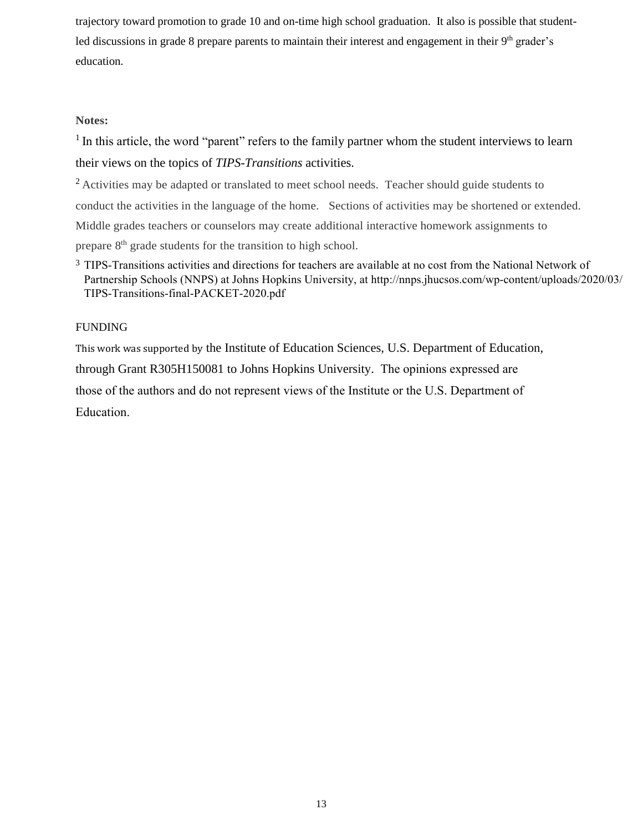trajectory toward promotion to grade 10 and on-time high school graduation. It also is possible that studentled discussions in grade 8 prepare parents to maintain their interest and engagement in their 9<sup>th</sup> grader's education.

#### **Notes:**

<sup>1</sup> In this article, the word "parent" refers to the family partner whom the student interviews to learn their views on the topics of *TIPS-Transitions* activities.

<sup>2</sup> Activities may be adapted or translated to meet school needs. Teacher should guide students to conduct the activities in the language of the home. Sections of activities may be shortened or extended. Middle grades teachers or counselors may create additional interactive homework assignments to prepare 8<sup>th</sup> grade students for the transition to high school.

### <sup>3</sup> TIPS-Transitions activities and directions for teachers are available at no cost from the National Network of Partnership Schools (NNPS) at Johns Hopkins University, at http://nnps.jhucsos.com/wp-content/uploads/2020/03/ TIPS-Transitions-final-PACKET-2020.pdf

#### FUNDING

This work was supported by the Institute of Education Sciences, U.S. Department of Education, through Grant R305H150081 to Johns Hopkins University. The opinions expressed are those of the authors and do not represent views of the Institute or the U.S. Department of Education.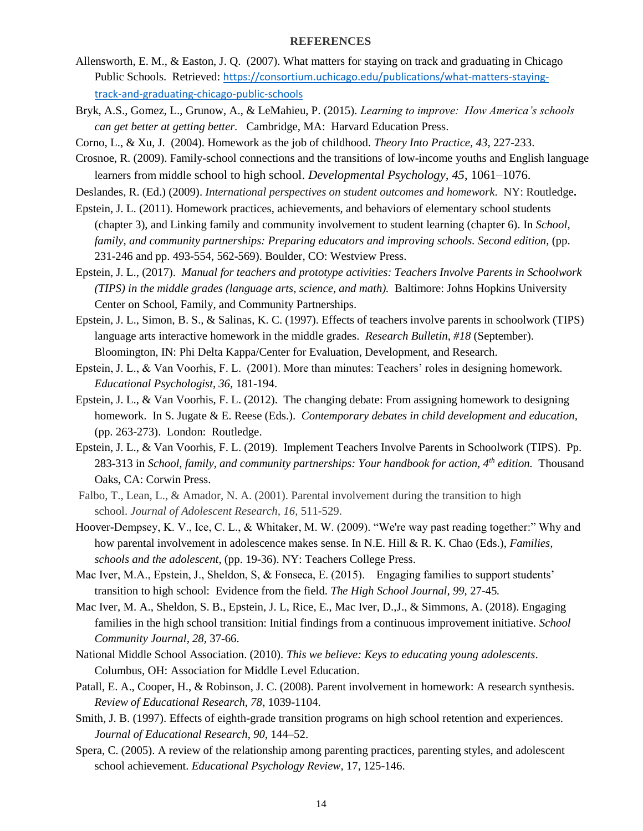#### **REFERENCES**

- Allensworth, E. M., & Easton, J. Q. (2007). What matters for staying on track and graduating in Chicago Public Schools. Retrieved: [https://consortium.uchicago.edu/publications/what-matters-staying](https://consortium.uchicago.edu/publications/what-matters-staying-track-and-graduating-chicago-public-schools)[track-and-graduating-chicago-public-schools](https://consortium.uchicago.edu/publications/what-matters-staying-track-and-graduating-chicago-public-schools)
- Bryk, A.S., Gomez, L., Grunow, A., & LeMahieu, P. (2015). *Learning to improve: How America's schools can get better at getting better.* Cambridge, MA: Harvard Education Press.
- Corno, L., & Xu, J. (2004). Homework as the job of childhood. *Theory Into Practice, 43*, 227-233.
- Crosnoe, R. (2009). Family-school connections and the transitions of low-income youths and English language learners from middle school to high school. *Developmental Psychology, 45*, 1061–1076.
- Deslandes, R. (Ed.) (2009). *International perspectives on student outcomes and homework*. NY: Routledge**.**
- Epstein, J. L. (2011). Homework practices, achievements, and behaviors of elementary school students (chapter 3), and Linking family and community involvement to student learning (chapter 6). In *School, family, and community partnerships: Preparing educators and improving schools. Second edition, (pp.* 231-246 and pp. 493-554, 562-569). Boulder, CO: Westview Press.
- Epstein, J. L., (2017). *Manual for teachers and prototype activities: Teachers Involve Parents in Schoolwork (TIPS) in the middle grades (language arts, science, and math).* Baltimore: Johns Hopkins University Center on School, Family, and Community Partnerships.
- Epstein, J. L., Simon, B. S., & Salinas, K. C. (1997). Effects of teachers involve parents in schoolwork (TIPS) language arts interactive homework in the middle grades. *Research Bulletin, #18* (September). Bloomington, IN: Phi Delta Kappa/Center for Evaluation, Development, and Research.
- Epstein, J. L., & Van Voorhis, F. L. (2001). More than minutes: Teachers' roles in designing homework. *Educational Psychologist, 36,* 181-194.
- Epstein, J. L., & Van Voorhis, F. L. (2012). The changing debate: From assigning homework to designing homework. In S. Jugate & E. Reese (Eds.). *Contemporary debates in child development and education,*  (pp. 263-273). London: Routledge.
- Epstein, J. L., & Van Voorhis, F. L. (2019). Implement Teachers Involve Parents in Schoolwork (TIPS). Pp. 283-313 in *School, family, and community partnerships: Your handbook for action, 4th edition.* Thousand Oaks, CA: Corwin Press.
- Falbo, T., Lean, L., & Amador, N. A. (2001). Parental involvement during the transition to high school. *Journal of Adolescent Research, 16*, 511-529.
- Hoover-Dempsey, K. V., Ice, C. L., & Whitaker, M. W. (2009). "We're way past reading together:" Why and how parental involvement in adolescence makes sense. In N.E. Hill & R. K. Chao (Eds.), *Families, schools and the adolescent*, (pp. 19-36). NY: Teachers College Press.
- Mac Iver, M.A., Epstein, J., Sheldon, S, & Fonseca, E. (2015). Engaging families to support students' transition to high school: Evidence from the field. *The High School Journal, 99,* 27-45*.*
- Mac Iver, M. A., Sheldon, S. B., Epstein, J. L, Rice, E., Mac Iver, D.,J., & Simmons, A. (2018). Engaging families in the high school transition: Initial findings from a continuous improvement initiative. *School Community Journal, 28,* 37-66.
- National Middle School Association. (2010). *This we believe: Keys to educating young adolescents*. Columbus, OH: Association for Middle Level Education.
- Patall, E. A., Cooper, H., & Robinson, J. C. (2008). Parent involvement in homework: A research synthesis. *Review of Educational Research, 78*, 1039-1104.
- Smith, J. B. (1997). Effects of eighth-grade transition programs on high school retention and experiences. *Journal of Educational Research*, *90*, 144–52.
- Spera, C. (2005). A review of the relationship among parenting practices, parenting styles, and adolescent school achievement. *Educational Psychology Review,* 17, 125-146.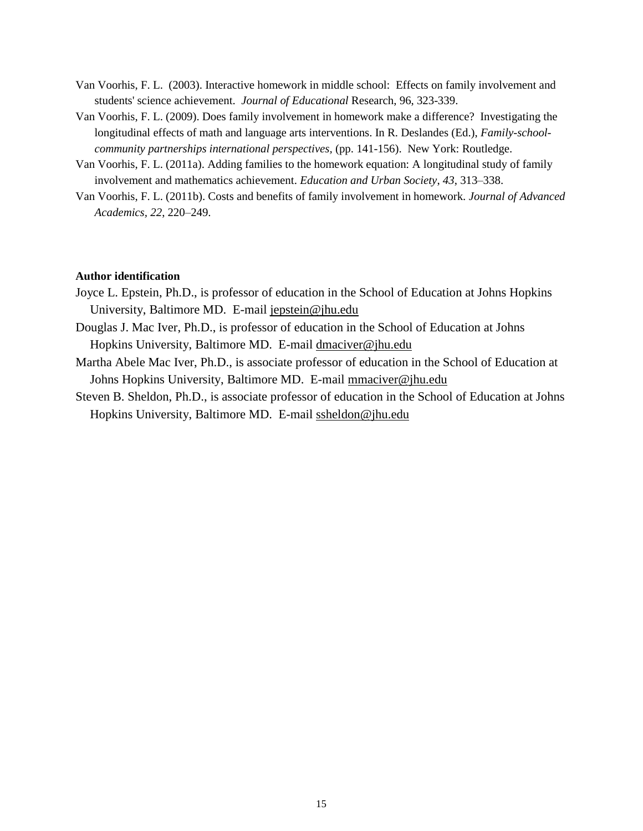- Van Voorhis, F. L. (2003). Interactive homework in middle school: Effects on family involvement and students' science achievement. *Journal of Educational* Research, 96, 323-339.
- Van Voorhis, F. L. (2009). Does family involvement in homework make a difference? Investigating the longitudinal effects of math and language arts interventions. In R. Deslandes (Ed.), *Family-schoolcommunity partnerships international perspectives, (pp. 141-156). New York: Routledge.*
- Van Voorhis, F. L. (2011a). Adding families to the homework equation: A longitudinal study of family involvement and mathematics achievement. *Education and Urban Society*, *43*, 313–338.
- Van Voorhis, F. L. (2011b). Costs and benefits of family involvement in homework. *Journal of Advanced Academics, 22*, 220–249.

#### **Author identification**

- Joyce L. Epstein, Ph.D., is professor of education in the School of Education at Johns Hopkins University, Baltimore MD. E-mail [jepstein@jhu.edu](mailto:jepstein@jhu.edu)
- Douglas J. Mac Iver, Ph.D., is professor of education in the School of Education at Johns Hopkins University, Baltimore MD. E-mail [dmaciver@jhu.edu](mailto:dmaciver@jhu.edu)
- Martha Abele Mac Iver, Ph.D., is associate professor of education in the School of Education at Johns Hopkins University, Baltimore MD. E-mail [mmaciver@jhu.edu](mailto:mmaciver@jhu.edu)
- Steven B. Sheldon, Ph.D., is associate professor of education in the School of Education at Johns Hopkins University, Baltimore MD. E-mail [ssheldon@jhu.edu](mailto:ssheldon@jhu.edu)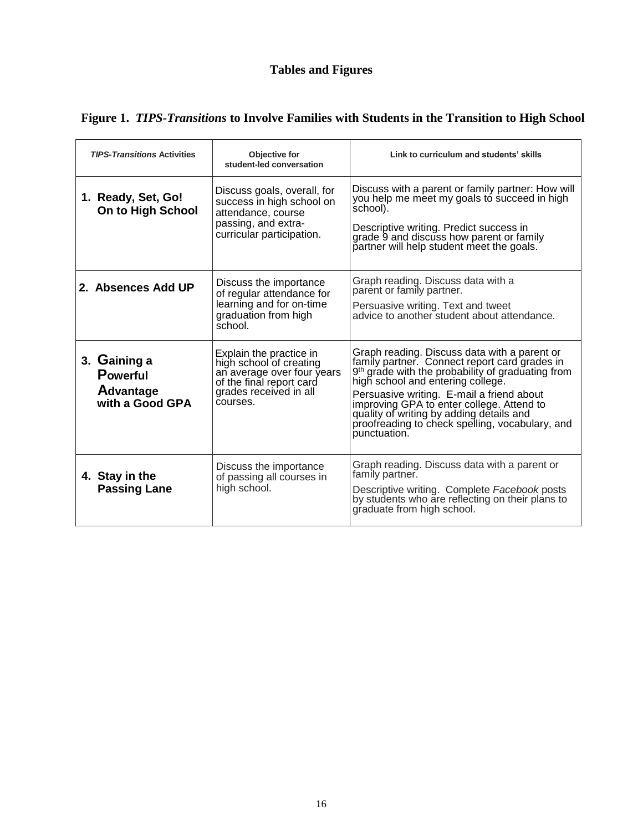# **Tables and Figures**

| <b>TIPS-Transitions Activities</b>                                     | Objective for<br>student-led conversation                                                                                                          | Link to curriculum and students' skills                                                                                                                                                                                                                                                                                                                                                                      |
|------------------------------------------------------------------------|----------------------------------------------------------------------------------------------------------------------------------------------------|--------------------------------------------------------------------------------------------------------------------------------------------------------------------------------------------------------------------------------------------------------------------------------------------------------------------------------------------------------------------------------------------------------------|
| 1. Ready, Set, Go!<br>On to High School                                | Discuss goals, overall, for<br>success in high school on<br>attendance, course<br>passing, and extra-<br>curricular participation.                 | Discuss with a parent or family partner: How will<br>you help me meet my goals to succeed in high<br>school).<br>Descriptive writing. Predict success in<br>grade 9 and discuss how parent or family<br>partner will help student meet the goals.                                                                                                                                                            |
| 2. Absences Add UP                                                     | Discuss the importance<br>of regular attendance for<br>learning and for on-time<br>graduation from high<br>school.                                 | Graph reading. Discuss data with a<br>parent or family partner.<br>Persuasive writing. Text and tweet<br>advice to another student about attendance.                                                                                                                                                                                                                                                         |
| 3. Gaining a<br><b>Powerful</b><br><b>Advantage</b><br>with a Good GPA | Explain the practice in<br>high school of creating<br>an average over four years<br>of the final report card<br>grades received in all<br>courses. | Graph reading. Discuss data with a parent or<br>family partner. Connect report card grades in<br>9 <sup>th</sup> grade with the probability of graduating from<br>high school and entering college.<br>Persuasive writing. E-mail a friend about<br>improving GPA to enter college. Attend to<br>quality of writing by adding details and<br>proofreading to check spelling, vocabulary, and<br>punctuation. |
| 4. Stay in the<br><b>Passing Lane</b>                                  | Discuss the importance<br>of passing all courses in<br>high school.                                                                                | Graph reading. Discuss data with a parent or<br>family partner.<br>Descriptive writing. Complete Facebook posts<br>by students who are reflecting on their plans to<br>graduate from high school.                                                                                                                                                                                                            |

# **Figure 1.** *TIPS-Transitions* **to Involve Families with Students in the Transition to High School**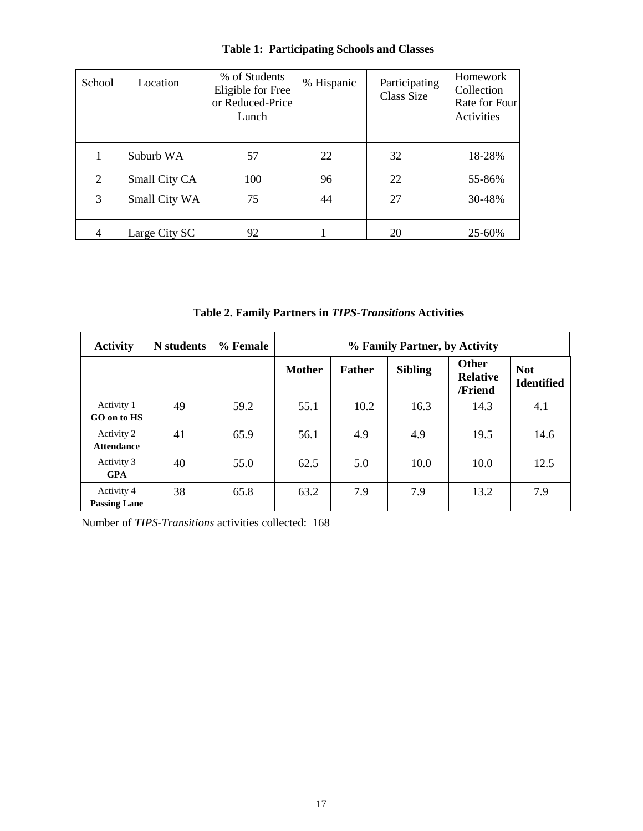| School | Location      | % of Students<br>Eligible for Free<br>or Reduced-Price<br>Lunch | % Hispanic | Participating<br>Class Size | Homework<br>Collection<br>Rate for Four<br>Activities |
|--------|---------------|-----------------------------------------------------------------|------------|-----------------------------|-------------------------------------------------------|
| 1      | Suburb WA     | 57                                                              | 22         | 32                          | 18-28%                                                |
| 2      | Small City CA | 100                                                             | 96         | 22                          | 55-86%                                                |
| 3      | Small City WA | 75                                                              | 44         | 27                          | 30-48%                                                |
| 4      | Large City SC | 92                                                              |            | 20                          | 25-60%                                                |

# **Table 1: Participating Schools and Classes**

**Table 2. Family Partners in** *TIPS-Transitions* **Activities**

| <b>Activity</b>                   | N students | % Female | % Family Partner, by Activity |               |                |                                     |                                 |
|-----------------------------------|------------|----------|-------------------------------|---------------|----------------|-------------------------------------|---------------------------------|
|                                   |            |          | <b>Mother</b>                 | <b>Father</b> | <b>Sibling</b> | Other<br><b>Relative</b><br>/Friend | <b>Not</b><br><b>Identified</b> |
| Activity 1<br>GO on to HS         | 49         | 59.2     | 55.1                          | 10.2          | 16.3           | 14.3                                | 4.1                             |
| Activity 2<br><b>Attendance</b>   | 41         | 65.9     | 56.1                          | 4.9           | 4.9            | 19.5                                | 14.6                            |
| Activity 3<br><b>GPA</b>          | 40         | 55.0     | 62.5                          | 5.0           | 10.0           | 10.0                                | 12.5                            |
| Activity 4<br><b>Passing Lane</b> | 38         | 65.8     | 63.2                          | 7.9           | 7.9            | 13.2                                | 7.9                             |

Number of *TIPS-Transitions* activities collected: 168